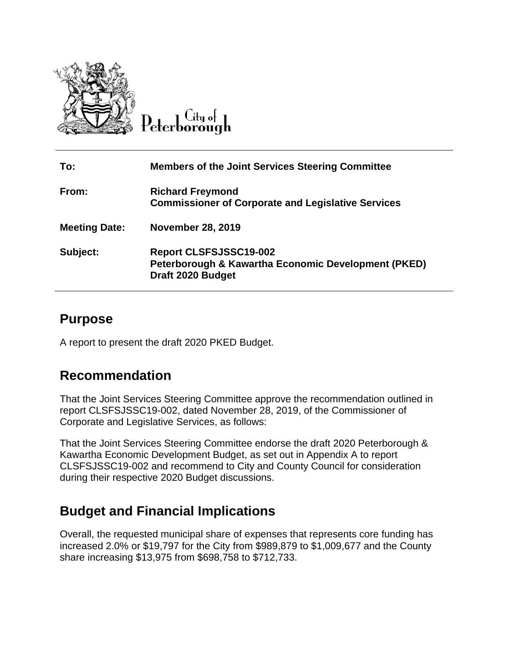

#### $C$ ity of Peterborough

| To:                  | <b>Members of the Joint Services Steering Committee</b>                                                   |
|----------------------|-----------------------------------------------------------------------------------------------------------|
| From:                | <b>Richard Freymond</b><br><b>Commissioner of Corporate and Legislative Services</b>                      |
| <b>Meeting Date:</b> | <b>November 28, 2019</b>                                                                                  |
| Subject:             | <b>Report CLSFSJSSC19-002</b><br>Peterborough & Kawartha Economic Development (PKED)<br>Draft 2020 Budget |

### **Purpose**

A report to present the draft 2020 PKED Budget.

#### **Recommendation**

That the Joint Services Steering Committee approve the recommendation outlined in report CLSFSJSSC19-002, dated November 28, 2019, of the Commissioner of Corporate and Legislative Services, as follows:

That the Joint Services Steering Committee endorse the draft 2020 Peterborough & Kawartha Economic Development Budget, as set out in Appendix A to report CLSFSJSSC19-002 and recommend to City and County Council for consideration during their respective 2020 Budget discussions.

## **Budget and Financial Implications**

Overall, the requested municipal share of expenses that represents core funding has increased 2.0% or \$19,797 for the City from \$989,879 to \$1,009,677 and the County share increasing \$13,975 from \$698,758 to \$712,733.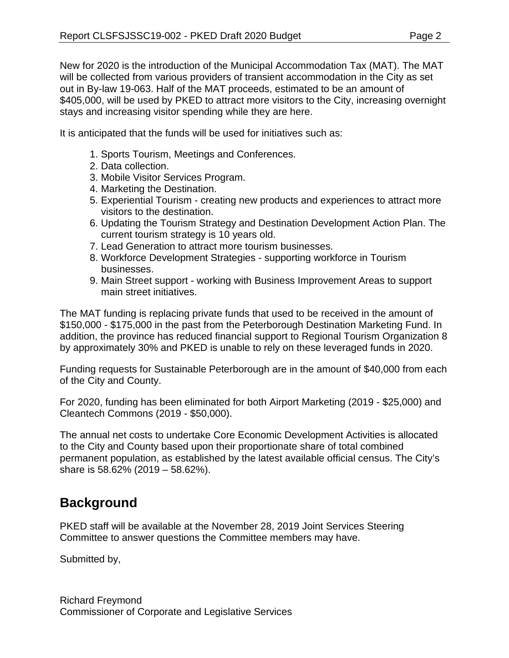New for 2020 is the introduction of the Municipal Accommodation Tax (MAT). The MAT will be collected from various providers of transient accommodation in the City as set out in By-law 19-063. Half of the MAT proceeds, estimated to be an amount of \$405,000, will be used by PKED to attract more visitors to the City, increasing overnight stays and increasing visitor spending while they are here.

It is anticipated that the funds will be used for initiatives such as:

- 1. Sports Tourism, Meetings and Conferences.
- 2. Data collection.
- 3. Mobile Visitor Services Program.
- 4. Marketing the Destination.
- 5. Experiential Tourism creating new products and experiences to attract more visitors to the destination.
- 6. Updating the Tourism Strategy and Destination Development Action Plan. The current tourism strategy is 10 years old.
- 7. Lead Generation to attract more tourism businesses.
- 8. Workforce Development Strategies supporting workforce in Tourism businesses.
- 9. Main Street support working with Business Improvement Areas to support main street initiatives.

The MAT funding is replacing private funds that used to be received in the amount of \$150,000 - \$175,000 in the past from the Peterborough Destination Marketing Fund. In addition, the province has reduced financial support to Regional Tourism Organization 8 by approximately 30% and PKED is unable to rely on these leveraged funds in 2020.

Funding requests for Sustainable Peterborough are in the amount of \$40,000 from each of the City and County.

For 2020, funding has been eliminated for both Airport Marketing (2019 - \$25,000) and Cleantech Commons (2019 - \$50,000).

The annual net costs to undertake Core Economic Development Activities is allocated to the City and County based upon their proportionate share of total combined permanent population, as established by the latest available official census. The City's share is 58.62% (2019 – 58.62%).

## **Background**

PKED staff will be available at the November 28, 2019 Joint Services Steering Committee to answer questions the Committee members may have.

Submitted by,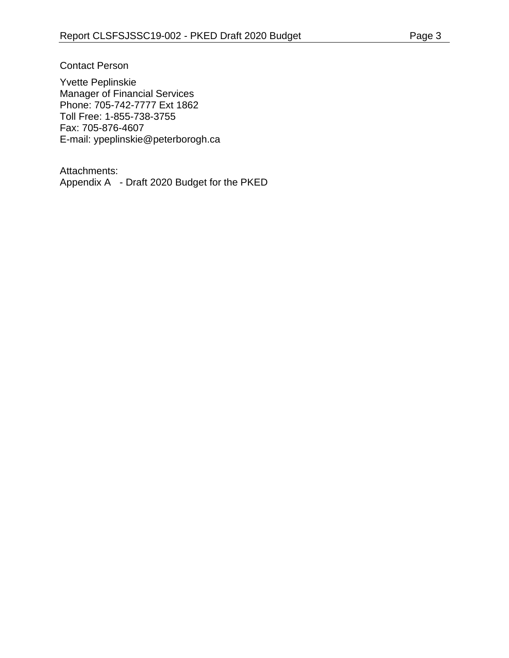Contact Person

Yvette Peplinskie Manager of Financial Services Phone: 705-742-7777 Ext 1862 Toll Free: 1-855-738-3755 Fax: 705-876-4607 E-mail: ypeplinskie@peterborogh.ca

Attachments: Appendix A - Draft 2020 Budget for the PKED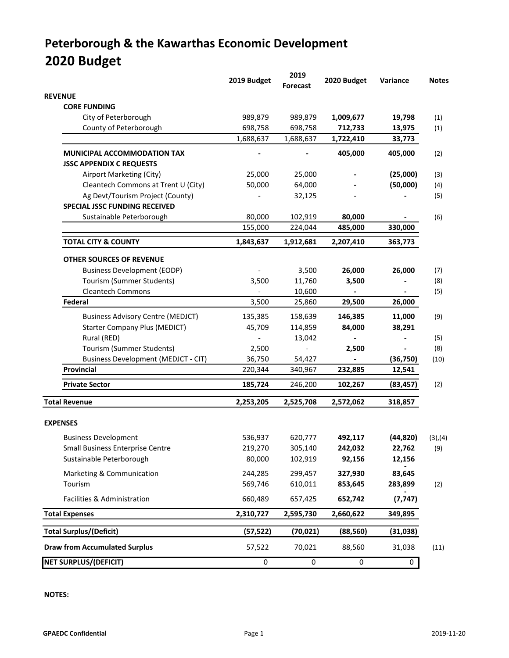# **Peterborough & the Kawarthas Economic Development 2020 Budget**

|                                            | 2019 Budget | 2019<br>Forecast | 2020 Budget | Variance  | <b>Notes</b> |
|--------------------------------------------|-------------|------------------|-------------|-----------|--------------|
| <b>REVENUE</b>                             |             |                  |             |           |              |
| <b>CORE FUNDING</b>                        |             |                  |             |           |              |
| City of Peterborough                       | 989,879     | 989,879          | 1,009,677   | 19,798    | (1)          |
| County of Peterborough                     | 698,758     | 698,758          | 712,733     | 13,975    | (1)          |
|                                            | 1,688,637   | 1,688,637        | 1,722,410   | 33,773    |              |
| <b>MUNICIPAL ACCOMMODATION TAX</b>         |             |                  | 405,000     | 405,000   | (2)          |
| <b>JSSC APPENDIX C REQUESTS</b>            |             |                  |             |           |              |
| Airport Marketing (City)                   | 25,000      | 25,000           |             | (25,000)  | (3)          |
| Cleantech Commons at Trent U (City)        | 50,000      | 64,000           |             | (50,000)  | (4)          |
| Ag Devt/Tourism Project (County)           |             | 32,125           |             |           | (5)          |
| SPECIAL JSSC FUNDING RECEIVED              |             |                  |             |           |              |
| Sustainable Peterborough                   | 80,000      | 102,919          | 80,000      |           | (6)          |
|                                            | 155,000     | 224,044          | 485,000     | 330,000   |              |
| <b>TOTAL CITY &amp; COUNTY</b>             | 1,843,637   | 1,912,681        | 2,207,410   | 363,773   |              |
| <b>OTHER SOURCES OF REVENUE</b>            |             |                  |             |           |              |
| <b>Business Development (EODP)</b>         |             | 3,500            | 26,000      | 26,000    | (7)          |
| Tourism (Summer Students)                  | 3,500       | 11,760           | 3,500       |           | (8)          |
| <b>Cleantech Commons</b>                   |             | 10,600           |             |           | (5)          |
| Federal                                    | 3,500       | 25,860           | 29,500      | 26,000    |              |
| <b>Business Advisory Centre (MEDJCT)</b>   | 135,385     | 158,639          | 146,385     | 11,000    | (9)          |
| <b>Starter Company Plus (MEDICT)</b>       | 45,709      | 114,859          | 84,000      | 38,291    |              |
| Rural (RED)                                |             | 13,042           |             |           | (5)          |
| Tourism (Summer Students)                  | 2,500       |                  | 2,500       |           | (8)          |
| <b>Business Development (MEDJCT - CIT)</b> | 36,750      | 54,427           |             | (36, 750) | (10)         |
| Provincial                                 | 220,344     | 340,967          | 232,885     | 12,541    |              |
| <b>Private Sector</b>                      | 185,724     | 246,200          | 102,267     | (83, 457) | (2)          |
| <b>Total Revenue</b>                       | 2,253,205   | 2,525,708        | 2,572,062   | 318,857   |              |
| <b>EXPENSES</b>                            |             |                  |             |           |              |
| <b>Business Development</b>                | 536,937     | 620,777          | 492,117     | (44, 820) | (3), (4)     |
| <b>Small Business Enterprise Centre</b>    | 219,270     | 305,140          | 242,032     | 22,762    | (9)          |
| Sustainable Peterborough                   | 80,000      | 102,919          | 92,156      | 12,156    |              |
| Marketing & Communication                  | 244,285     | 299,457          | 327,930     | 83,645    |              |
| Tourism                                    | 569,746     | 610,011          | 853,645     | 283,899   | (2)          |
| Facilities & Administration                | 660,489     | 657,425          | 652,742     | (7, 747)  |              |
| <b>Total Expenses</b>                      | 2,310,727   | 2,595,730        | 2,660,622   | 349,895   |              |
| <b>Total Surplus/(Deficit)</b>             | (57, 522)   | (70, 021)        | (88, 560)   | (31,038)  |              |
| <b>Draw from Accumulated Surplus</b>       | 57,522      | 70,021           | 88,560      | 31,038    | (11)         |
| <b>NET SURPLUS/(DEFICIT)</b>               | 0           | 0                | 0           | 0         |              |

**NOTES:**